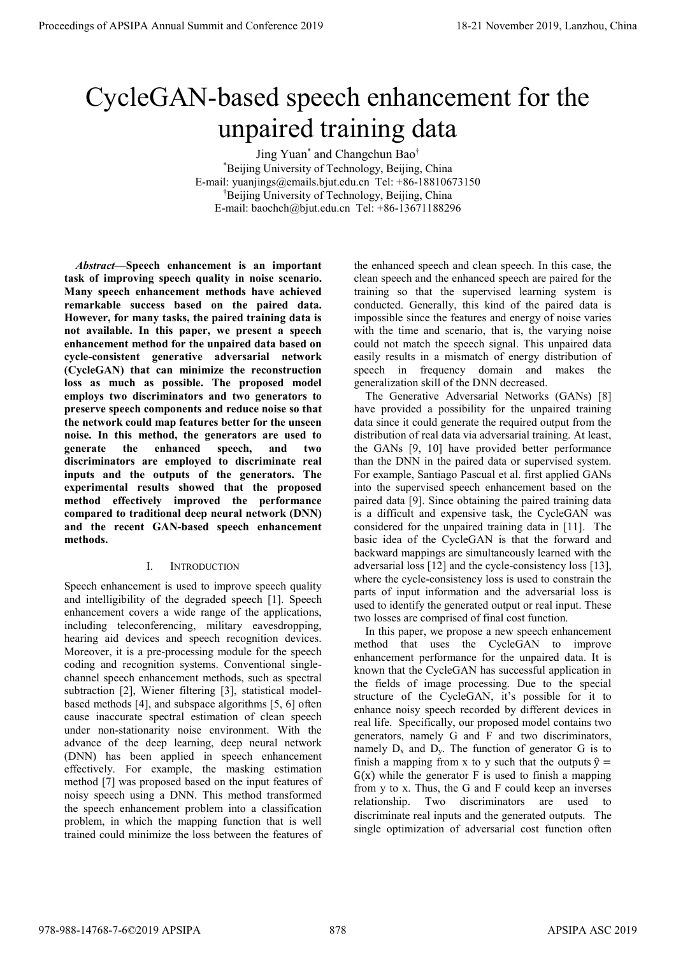# CycleGAN-based speech enhancement for the unpaired training data

Jing Yuan\* and Changchun Bao† \*Beijing University of Technology, Beijing, China E-mail: yuanjings@emails.bjut.edu.cn Tel: +86-18810673150 †Beijing University of Technology, Beijing, China E-mail: baochch@bjut.edu.cn Tel: +86-13671188296

Abstract—Speech enhancement is an important task of improving speech quality in noise scenario. Many speech enhancement methods have achieved remarkable success based on the paired data. However, for many tasks, the paired training data is not available. In this paper, we present a speech enhancement method for the unpaired data based on cycle-consistent generative adversarial network (CycleGAN) that can minimize the reconstruction loss as much as possible. The proposed model employs two discriminators and two generators to preserve speech components and reduce noise so that the network could map features better for the unseen noise. In this method, the generators are used to generate the enhanced speech, and two discriminators are employed to discriminate real inputs and the outputs of the generators. The experimental results showed that the proposed method effectively improved the performance compared to traditional deep neural network (DNN) and the recent GAN-based speech enhancement methods. **Proceedings of APSIPA Annual Summit and Conference 2019**<br> **CycleGAN-based of Conference 2019**<br> **CycleGAN-based of Conference 2019**<br> **CycleGAN-based of Conference 2019**<br> **Conference 2019**<br> **CycleGAN-based of Conference 20** 

# I. INTRODUCTION

Speech enhancement is used to improve speech quality and intelligibility of the degraded speech [1]. Speech enhancement covers a wide range of the applications, including teleconferencing, military eavesdropping, hearing aid devices and speech recognition devices. Moreover, it is a pre-processing module for the speech coding and recognition systems. Conventional singlechannel speech enhancement methods, such as spectral subtraction [2], Wiener filtering [3], statistical modelbased methods [4], and subspace algorithms [5, 6] often cause inaccurate spectral estimation of clean speech under non-stationarity noise environment. With the advance of the deep learning, deep neural network (DNN) has been applied in speech enhancement effectively. For example, the masking estimation method [7] was proposed based on the input features of noisy speech using a DNN. This method transformed the speech enhancement problem into a classification problem, in which the mapping function that is well trained could minimize the loss between the features of the enhanced speech and clean speech. In this case, the clean speech and the enhanced speech are paired for the training so that the supervised learning system is conducted. Generally, this kind of the paired data is impossible since the features and energy of noise varies with the time and scenario, that is, the varying noise could not match the speech signal. This unpaired data easily results in a mismatch of energy distribution of speech in frequency domain and makes the generalization skill of the DNN decreased.

The Generative Adversarial Networks (GANs) [8] have provided a possibility for the unpaired training data since it could generate the required output from the distribution of real data via adversarial training. At least, the GANs [9, 10] have provided better performance than the DNN in the paired data or supervised system. For example, Santiago Pascual et al. first applied GANs into the supervised speech enhancement based on the paired data [9]. Since obtaining the paired training data is a difficult and expensive task, the CycleGAN was considered for the unpaired training data in [11]. The basic idea of the CycleGAN is that the forward and backward mappings are simultaneously learned with the adversarial loss [12] and the cycle-consistency loss [13], where the cycle-consistency loss is used to constrain the parts of input information and the adversarial loss is used to identify the generated output or real input. These two losses are comprised of final cost function.

In this paper, we propose a new speech enhancement method that uses the CycleGAN to improve enhancement performance for the unpaired data. It is known that the CycleGAN has successful application in the fields of image processing. Due to the special structure of the CycleGAN, it's possible for it to enhance noisy speech recorded by different devices in real life. Specifically, our proposed model contains two generators, namely G and F and two discriminators, namely  $D_x$  and  $D_y$ . The function of generator G is to finish a mapping from x to y such that the outputs  $\hat{y}$  =  $G(x)$  while the generator F is used to finish a mapping from y to x. Thus, the G and F could keep an inverses relationship. Two discriminators are used to discriminate real inputs and the generated outputs. The single optimization of adversarial cost function often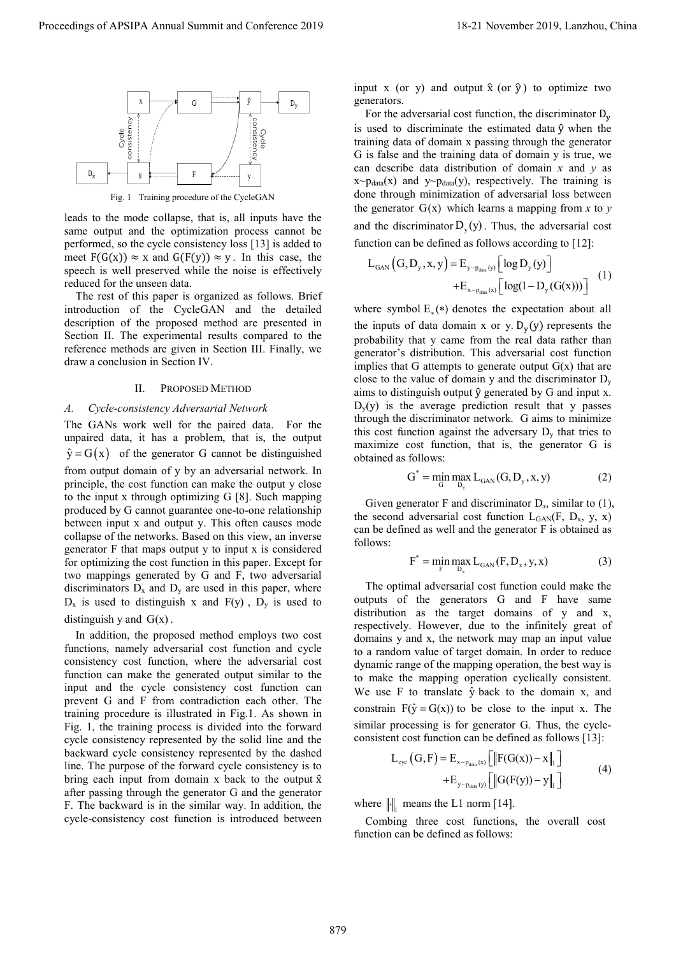

leads to the mode collapse, that is, all inputs have the same output and the optimization process cannot be performed, so the cycle consistency loss [13] is added to meet  $F(G(x)) \approx x$  and  $G(F(y)) \approx y$ . In this case, the speech is well preserved while the noise is effectively reduced for the unseen data.

The rest of this paper is organized as follows. Brief introduction of the CycleGAN and the detailed description of the proposed method are presented in Section II. The experimental results compared to the reference methods are given in Section III. Finally, we draw a conclusion in Section IV.

## II. PROPOSED METHOD

# A. Cycle-consistency Adversarial Network

The GANs work well for the paired data. For the unpaired data, it has a problem, that is, the output  $\hat{y} = G(x)$  of the generator G cannot be distinguished from output domain of y by an adversarial network. In principle, the cost function can make the output y close to the input x through optimizing G [8]. Such mapping produced by G cannot guarantee one-to-one relationship between input x and output y. This often causes mode collapse of the networks. Based on this view, an inverse generator F that maps output y to input x is considered for optimizing the cost function in this paper. Except for two mappings generated by G and F, two adversarial discriminators  $D_x$  and  $D_y$  are used in this paper, where  $D_x$  is used to distinguish x and  $F(y)$ ,  $D_y$  is used to distinguish y and  $G(x)$ . Proceedings of APSIPA Annual Summit and Conference 2019<br>
Proceedings of APSIPA Annual Summit and Conference 2019<br>
Proceedings of APSIPA Annual Summit and Conference 2019<br>
Proceedings of APSIPA Annual Summit and Conference

In addition, the proposed method employs two cost functions, namely adversarial cost function and cycle consistency cost function, where the adversarial cost function can make the generated output similar to the input and the cycle consistency cost function can prevent G and F from contradiction each other. The training procedure is illustrated in Fig.1. As shown in Fig. 1, the training process is divided into the forward cycle consistency represented by the solid line and the backward cycle consistency represented by the dashed line. The purpose of the forward cycle consistency is to bring each input from domain x back to the output  $\hat{x}$ after passing through the generator G and the generator F. The backward is in the similar way. In addition, the cycle-consistency cost function is introduced between

input x (or y) and output  $\hat{x}$  (or  $\hat{y}$ ) to optimize two generators.

For the adversarial cost function, the discriminator  $D_v$ is used to discriminate the estimated data  $\hat{y}$  when the training data of domain x passing through the generator G is false and the training data of domain y is true, we can describe data distribution of domain  $x$  and  $y$  as  $x \sim p_{data}(x)$  and  $y \sim p_{data}(y)$ , respectively. The training is done through minimization of adversarial loss between the generator  $G(x)$  which learns a mapping from x to y and the discriminator  $D_y(y)$ . Thus, the adversarial cost function can be defined as follows according to [12]:

$$
L_{\text{GAN}}(G, D_{y}, x, y) = E_{y_{-\text{P}_{\text{data}}(y)}} \left[ \log D_{y}(y) \right] + E_{x_{-\text{P}_{\text{data}}(x)}} \left[ \log(1 - D_{y}(G(x))) \right] \tag{1}
$$

where symbol  $E(x)$  denotes the expectation about all the inputs of data domain x or y.  $D_v(y)$  represents the probability that y came from the real data rather than generator's distribution. This adversarial cost function implies that G attempts to generate output  $G(x)$  that are close to the value of domain y and the discriminator  $D_y$ aims to distinguish output  $\hat{y}$  generated by G and input x.  $D_v(y)$  is the average prediction result that y passes through the discriminator network. G aims to minimize this cost function against the adversary  $D<sub>v</sub>$  that tries to maximize cost function, that is, the generator G is obtained as follows:

$$
G^* = \min_{G} \max_{D_y} L_{GAN}(G, D_y, x, y)
$$
 (2)

Given generator F and discriminator  $D_x$ , similar to (1), the second adversarial cost function  $L_{GAN}(F, D_x, y, x)$ can be defined as well and the generator F is obtained as follows:

$$
F^* = \min_{F} \max_{D_x} L_{GAN}(F, D_x, y, x)
$$
 (3)

The optimal adversarial cost function could make the outputs of the generators G and F have same distribution as the target domains of y and x, respectively. However, due to the infinitely great of domains y and x, the network may map an input value to a random value of target domain. In order to reduce dynamic range of the mapping operation, the best way is to make the mapping operation cyclically consistent. We use F to translate  $\hat{y}$  back to the domain x, and constrain  $F(\hat{y} = G(x))$  to be close to the input x. The similar processing is for generator G. Thus, the cycleconsistent cost function can be defined as follows [13]:

$$
L_{\text{cyc}}(G, F) = E_{x \sim p_{\text{data}}(x)} \left[ \left\| F(G(x)) - x \right\|_{1} \right] + E_{y \sim p_{\text{data}}(y)} \left[ \left\| G(F(y)) - y \right\|_{1} \right]
$$
(4)

where  $\| \cdot \|_1$  means the L1 norm [14].

Combing three cost functions, the overall cost function can be defined as follows: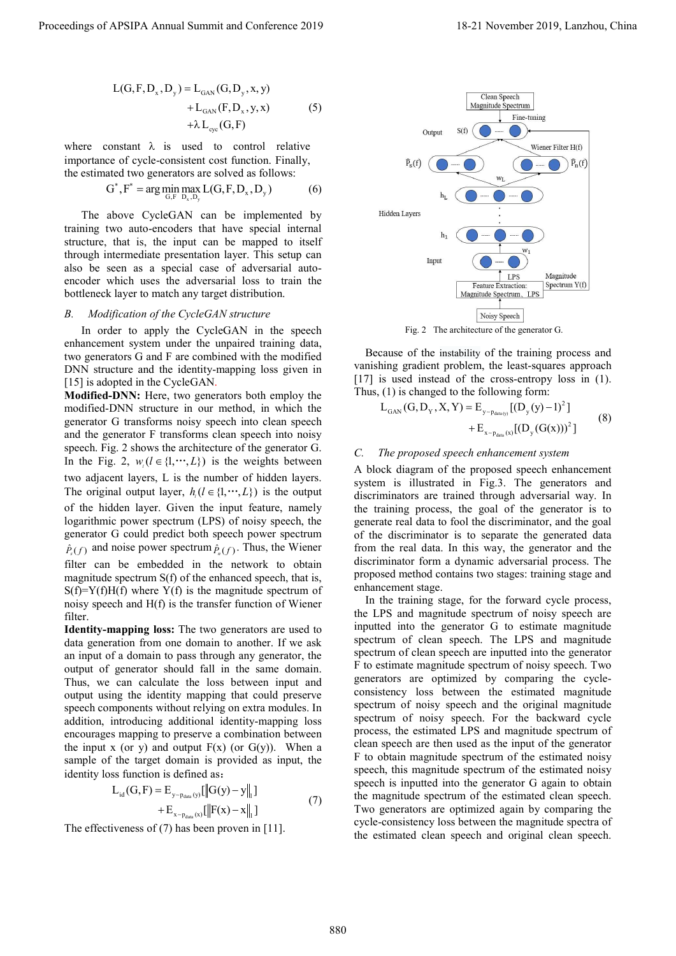$$
L(G, F, D_x, D_y) = L_{GAN}(G, D_y, x, y) + L_{GAN}(F, D_x, y, x) + \lambda L_{cyc}(G, F)
$$
 (5)

where constant  $\lambda$  is used to control relative importance of cycle-consistent cost function. Finally, the estimated two generators are solved as follows:

$$
G^*, F^* = \arg\min_{G, F} \max_{D_x, D_y} L(G, F, D_x, D_y)
$$
(6)

The above CycleGAN can be implemented by training two auto-encoders that have special internal structure, that is, the input can be mapped to itself through intermediate presentation layer. This setup can also be seen as a special case of adversarial autoencoder which uses the adversarial loss to train the bottleneck layer to match any target distribution.

#### B. Modification of the CycleGAN structure

In order to apply the CycleGAN in the speech enhancement system under the unpaired training data, two generators G and F are combined with the modified DNN structure and the identity-mapping loss given in [15] is adopted in the CycleGAN.

Modified-DNN: Here, two generators both employ the modified-DNN structure in our method, in which the generator G transforms noisy speech into clean speech and the generator F transforms clean speech into noisy speech. Fig. 2 shows the architecture of the generator G. In the Fig. 2,  $w_l (l \in \{1, \dots, L\})$  is the weights between two adjacent layers, L is the number of hidden layers. The original output layer,  $h_i (l \in \{1, \dots, L\})$  is the output of the hidden layer. Given the input feature, namely logarithmic power spectrum (LPS) of noisy speech, the generator G could predict both speech power spectrum  $\hat{P}_s(f)$  and noise power spectrum  $\hat{P}_n(f)$ . Thus, the Wiener filter can be embedded in the network to obtain magnitude spectrum S(f) of the enhanced speech, that is,  $S(f)=Y(f)H(f)$  where  $Y(f)$  is the magnitude spectrum of noisy speech and H(f) is the transfer function of Wiener filter.

Identity-mapping loss: The two generators are used to data generation from one domain to another. If we ask an input of a domain to pass through any generator, the output of generator should fall in the same domain. Thus, we can calculate the loss between input and output using the identity mapping that could preserve speech components without relying on extra modules. In addition, introducing additional identity-mapping loss encourages mapping to preserve a combination between the input x (or y) and output  $F(x)$  (or  $G(y)$ ). When a sample of the target domain is provided as input, the identity loss function is defined as:

$$
L_{id}(G, F) = E_{y \sim p_{data}(y)} [\|G(y) - y\|_{1}] + E_{x \sim p_{data}(x)} [\|F(x) - x\|_{1}]
$$
\n(7)

The effectiveness of (7) has been proven in [11].



Fig. 2 The architecture of the generator G.

Because of the instability of the training process and vanishing gradient problem, the least-squares approach [17] is used instead of the cross-entropy loss in (1). Thus, (1) is changed to the following form:

$$
L_{\text{GAN}}(G, D_{\gamma}, X, Y) = E_{\gamma \sim p_{\text{data}(y)}} [(D_{\gamma}(y) - 1)^{2}] + E_{\gamma \sim p_{\text{data}(x)}} [(D_{\gamma}(G(x)))^{2}]
$$
(8)

### C. The proposed speech enhancement system

A block diagram of the proposed speech enhancement system is illustrated in Fig.3. The generators and discriminators are trained through adversarial way. In the training process, the goal of the generator is to generate real data to fool the discriminator, and the goal of the discriminator is to separate the generated data from the real data. In this way, the generator and the discriminator form a dynamic adversarial process. The proposed method contains two stages: training stage and enhancement stage.

In the training stage, for the forward cycle process, the LPS and magnitude spectrum of noisy speech are inputted into the generator G to estimate magnitude spectrum of clean speech. The LPS and magnitude spectrum of clean speech are inputted into the generator F to estimate magnitude spectrum of noisy speech. Two generators are optimized by comparing the cycleconsistency loss between the estimated magnitude spectrum of noisy speech and the original magnitude spectrum of noisy speech. For the backward cycle process, the estimated LPS and magnitude spectrum of clean speech are then used as the input of the generator F to obtain magnitude spectrum of the estimated noisy speech, this magnitude spectrum of the estimated noisy speech is inputted into the generator G again to obtain the magnitude spectrum of the estimated clean speech. Two generators are optimized again by comparing the cycle-consistency loss between the magnitude spectra of the estimated clean speech and original clean speech. Proceeding of APSIPA Annual Summit and Conference 2019<br>  $\frac{1}{2}$  C(E), 2),  $\frac{1}{2}$  Language 2019<br>  $\frac{1}{2}$  Language 2019<br>  $\frac{1}{2}$  Language 2019, Language 2019<br>  $\frac{1}{2}$  Language 2019, Language 2019<br>  $\frac{1}{2}$  Langu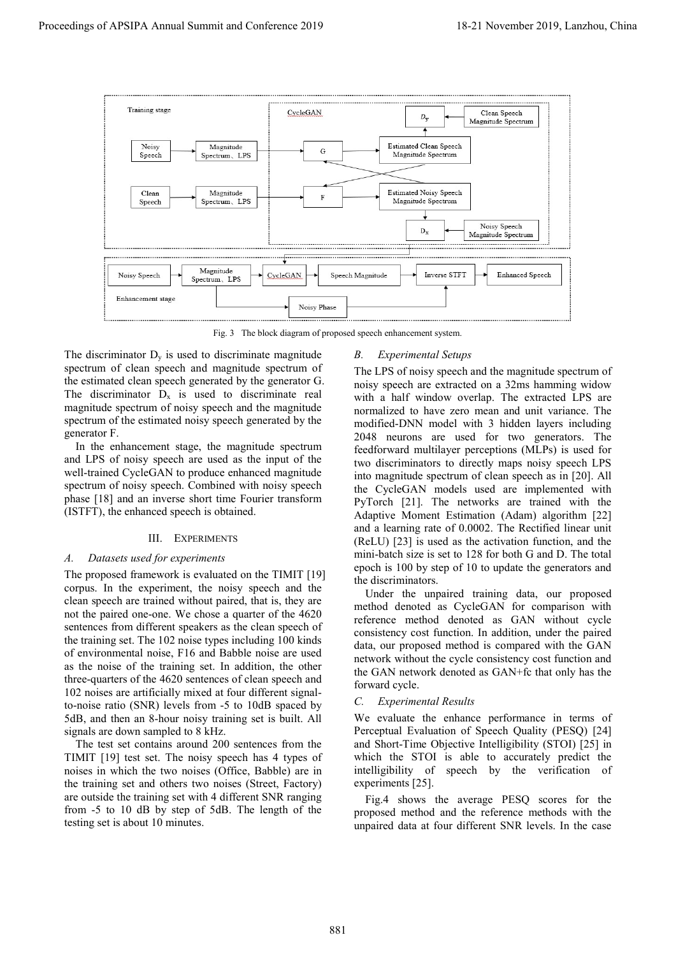

Fig. 3 The block diagram of proposed speech enhancement system.

The discriminator  $D_v$  is used to discriminate magnitude spectrum of clean speech and magnitude spectrum of the estimated clean speech generated by the generator G. The discriminator  $D_x$  is used to discriminate real magnitude spectrum of noisy speech and the magnitude spectrum of the estimated noisy speech generated by the generator F.

In the enhancement stage, the magnitude spectrum and LPS of noisy speech are used as the input of the well-trained CycleGAN to produce enhanced magnitude spectrum of noisy speech. Combined with noisy speech phase [18] and an inverse short time Fourier transform (ISTFT), the enhanced speech is obtained.

# III. EXPERIMENTS

## A. Datasets used for experiments

The proposed framework is evaluated on the TIMIT [19] corpus. In the experiment, the noisy speech and the clean speech are trained without paired, that is, they are not the paired one-one. We chose a quarter of the 4620 sentences from different speakers as the clean speech of the training set. The 102 noise types including 100 kinds of environmental noise, F16 and Babble noise are used as the noise of the training set. In addition, the other three-quarters of the 4620 sentences of clean speech and 102 noises are artificially mixed at four different signalto-noise ratio (SNR) levels from -5 to 10dB spaced by 5dB, and then an 8-hour noisy training set is built. All signals are down sampled to 8 kHz.

The test set contains around 200 sentences from the TIMIT [19] test set. The noisy speech has 4 types of noises in which the two noises (Office, Babble) are in the training set and others two noises (Street, Factory) are outside the training set with 4 different SNR ranging from -5 to 10 dB by step of 5dB. The length of the testing set is about 10 minutes.

# B. Experimental Setups

The LPS of noisy speech and the magnitude spectrum of noisy speech are extracted on a 32ms hamming widow with a half window overlap. The extracted LPS are normalized to have zero mean and unit variance. The modified-DNN model with 3 hidden layers including 2048 neurons are used for two generators. The feedforward multilayer perceptions (MLPs) is used for two discriminators to directly maps noisy speech LPS into magnitude spectrum of clean speech as in [20]. All the CycleGAN models used are implemented with PyTorch [21]. The networks are trained with the Adaptive Moment Estimation (Adam) algorithm [22] and a learning rate of 0.0002. The Rectified linear unit (ReLU) [23] is used as the activation function, and the mini-batch size is set to 128 for both G and D. The total epoch is 100 by step of 10 to update the generators and the discriminators.

Under the unpaired training data, our proposed method denoted as CycleGAN for comparison with reference method denoted as GAN without cycle consistency cost function. In addition, under the paired data, our proposed method is compared with the GAN network without the cycle consistency cost function and the GAN network denoted as GAN+fc that only has the forward cycle.

## C. Experimental Results

We evaluate the enhance performance in terms of Perceptual Evaluation of Speech Quality (PESQ) [24] and Short-Time Objective Intelligibility (STOI) [25] in which the STOI is able to accurately predict the intelligibility of speech by the verification of experiments [25].

Fig.4 shows the average PESQ scores for the proposed method and the reference methods with the unpaired data at four different SNR levels. In the case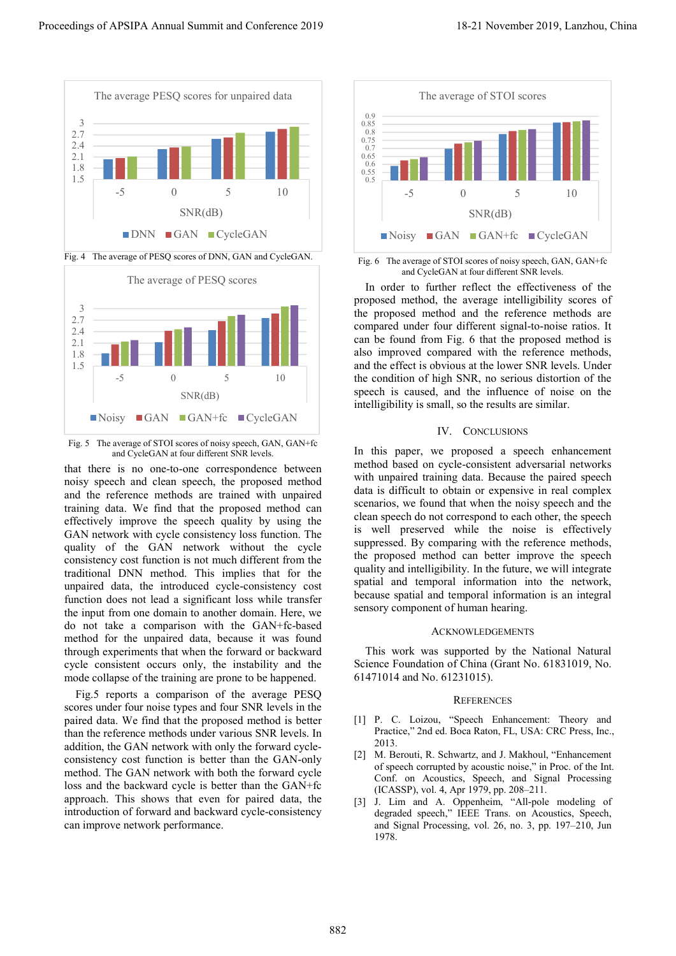

Fig. 4 The average of PESQ scores of DNN, GAN and CycleGAN.



Fig. 5 The average of STOI scores of noisy speech, GAN, GAN+fc and CycleGAN at four different SNR levels.

that there is no one-to-one correspondence between noisy speech and clean speech, the proposed method and the reference methods are trained with unpaired training data. We find that the proposed method can effectively improve the speech quality by using the GAN network with cycle consistency loss function. The quality of the GAN network without the cycle consistency cost function is not much different from the traditional DNN method. This implies that for the unpaired data, the introduced cycle-consistency cost function does not lead a significant loss while transfer the input from one domain to another domain. Here, we do not take a comparison with the GAN+fc-based method for the unpaired data, because it was found through experiments that when the forward or backward cycle consistent occurs only, the instability and the mode collapse of the training are prone to be happened. Proceeding  $\frac{1}{2}$ <br>
Proceedings of APSIPA Annual Summit and Conference 2019<br>  $\frac{1}{2}$ <br>  $\frac{1}{2}$ <br>  $\frac{1}{2}$ <br>  $\frac{1}{2}$ <br>  $\frac{1}{2}$ <br>  $\frac{1}{2}$ <br>  $\frac{1}{2}$ <br>  $\frac{1}{2}$ <br>  $\frac{1}{2}$ <br>  $\frac{1}{2}$ <br>  $\frac{1}{2}$ <br>  $\frac{1}{2}$ <br>  $\frac{1}{2}$ <br>

Fig.5 reports a comparison of the average PESQ scores under four noise types and four SNR levels in the paired data. We find that the proposed method is better than the reference methods under various SNR levels. In addition, the GAN network with only the forward cycleconsistency cost function is better than the GAN-only method. The GAN network with both the forward cycle loss and the backward cycle is better than the GAN+fc approach. This shows that even for paired data, the introduction of forward and backward cycle-consistency can improve network performance.



Fig. 6 The average of STOI scores of noisy speech, GAN, GAN+fc and CycleGAN at four different SNR levels.

In order to further reflect the effectiveness of the proposed method, the average intelligibility scores of the proposed method and the reference methods are compared under four different signal-to-noise ratios. It can be found from Fig. 6 that the proposed method is also improved compared with the reference methods, and the effect is obvious at the lower SNR levels. Under the condition of high SNR, no serious distortion of the speech is caused, and the influence of noise on the intelligibility is small, so the results are similar.

# IV. CONCLUSIONS

In this paper, we proposed a speech enhancement method based on cycle-consistent adversarial networks with unpaired training data. Because the paired speech data is difficult to obtain or expensive in real complex scenarios, we found that when the noisy speech and the clean speech do not correspond to each other, the speech is well preserved while the noise is effectively suppressed. By comparing with the reference methods, the proposed method can better improve the speech quality and intelligibility. In the future, we will integrate spatial and temporal information into the network, because spatial and temporal information is an integral sensory component of human hearing.

#### ACKNOWLEDGEMENTS

This work was supported by the National Natural Science Foundation of China (Grant No. 61831019, No. 61471014 and No. 61231015).

### **REFERENCES**

- [1] P. C. Loizou, "Speech Enhancement: Theory and Practice," 2nd ed. Boca Raton, FL, USA: CRC Press, Inc., 2013.
- [2] M. Berouti, R. Schwartz, and J. Makhoul, "Enhancement of speech corrupted by acoustic noise," in Proc. of the Int. Conf. on Acoustics, Speech, and Signal Processing (ICASSP), vol. 4, Apr 1979, pp. 208–211.
- [3] J. Lim and A. Oppenheim, "All-pole modeling of degraded speech," IEEE Trans. on Acoustics, Speech, and Signal Processing, vol. 26, no. 3, pp. 197–210, Jun 1978.